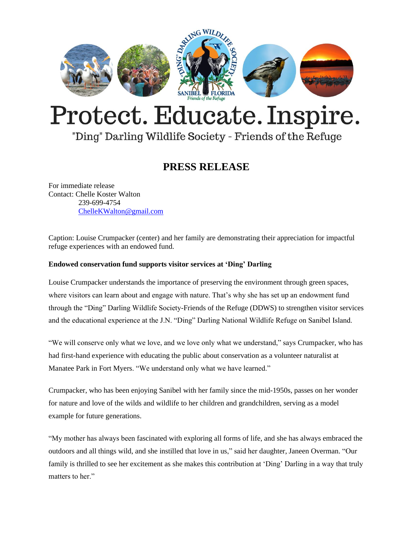

# Protect. Educate. Inspire.

## "Ding" Darling Wildlife Society - Friends of the Refuge

## **PRESS RELEASE**

For immediate release Contact: Chelle Koster Walton 239-699-4754 [ChelleKWalton@gmail.com](mailto:ChelleKWalton@gmail.com)

Caption: Louise Crumpacker (center) and her family are demonstrating their appreciation for impactful refuge experiences with an endowed fund.

### **Endowed conservation fund supports visitor services at 'Ding' Darling**

Louise Crumpacker understands the importance of preserving the environment through green spaces, where visitors can learn about and engage with nature. That's why she has set up an endowment fund through the "Ding" Darling Wildlife Society-Friends of the Refuge (DDWS) to strengthen visitor services and the educational experience at the J.N. "Ding" Darling National Wildlife Refuge on Sanibel Island.

"We will conserve only what we love, and we love only what we understand," says Crumpacker, who has had first-hand experience with educating the public about conservation as a volunteer naturalist at Manatee Park in Fort Myers. "We understand only what we have learned."

Crumpacker, who has been enjoying Sanibel with her family since the mid-1950s, passes on her wonder for nature and love of the wilds and wildlife to her children and grandchildren, serving as a model example for future generations.

"My mother has always been fascinated with exploring all forms of life, and she has always embraced the outdoors and all things wild, and she instilled that love in us," said her daughter, Janeen Overman. "Our family is thrilled to see her excitement as she makes this contribution at 'Ding' Darling in a way that truly matters to her."